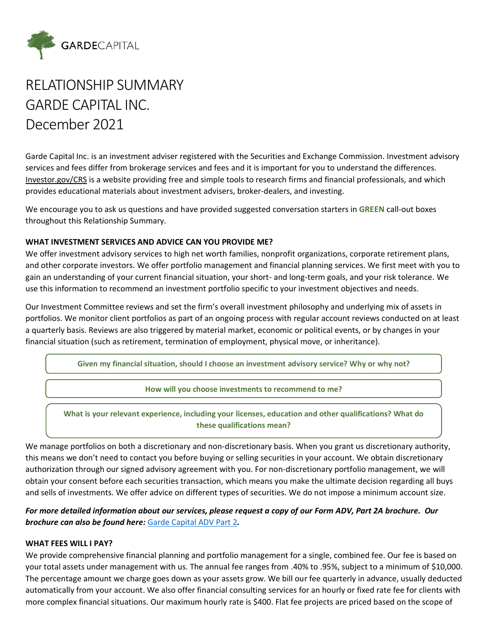

# RELATIONSHIP SUMMARY GARDE CAPITAL INC. December 2021

Garde Capital Inc. is an investment adviser registered with the Securities and Exchange Commission. Investment advisory services and fees differ from brokerage services and fees and it is important for you to understand the differences. [Investor.gov/CRS](http://www.investor.gov/CRS) is a website providing free and simple tools to research firms and financial professionals, and which provides educational materials about investment advisers, broker-dealers, and investing.

We encourage you to ask us questions and have provided suggested conversation starters in **GREEN** call-out boxes throughout this Relationship Summary.

### **WHAT INVESTMENT SERVICES AND ADVICE CAN YOU PROVIDE ME?**

We offer investment advisory services to high net worth families, nonprofit organizations, corporate retirement plans, and other corporate investors. We offer portfolio management and financial planning services. We first meet with you to gain an understanding of your current financial situation, your short- and long-term goals, and your risk tolerance. We use this information to recommend an investment portfolio specific to your investment objectives and needs.

Our Investment Committee reviews and set the firm's overall investment philosophy and underlying mix of assets in portfolios. We monitor client portfolios as part of an ongoing process with regular account reviews conducted on at least a quarterly basis. Reviews are also triggered by material market, economic or political events, or by changes in your financial situation (such as retirement, termination of employment, physical move, or inheritance).

**Given my financial situation, should I choose an investment advisory service? Why or why not?**

**How will you choose investments to recommend to me?**

**What is your relevant experience, including your licenses, education and other qualifications? What do these qualifications mean?**

We manage portfolios on both a discretionary and non-discretionary basis. When you grant us discretionary authority, this means we don't need to contact you before buying or selling securities in your account. We obtain discretionary authorization through our signed advisory agreement with you. For non-discretionary portfolio management, we will obtain your consent before each securities transaction, which means you make the ultimate decision regarding all buys and sells of investments. We offer advice on different types of securities. We do not impose a minimum account size.

## *For more detailed information about our services, please request a copy of our Form ADV, Part 2A brochure. Our brochure can also be found here:* [Garde Capital ADV Part 2](https://gardecapital.com/wp-content/uploads/2022/03/Garde-Capital-ADV-2A-and-2B-2022-03-31.pdf)*.*

### **WHAT FEES WILL I PAY?**

We provide comprehensive financial planning and portfolio management for a single, combined fee. Our fee is based on your total assets under management with us. The annual fee ranges from .40% to .95%, subject to a minimum of \$10,000. The percentage amount we charge goes down as your assets grow. We bill our fee quarterly in advance, usually deducted automatically from your account. We also offer financial consulting services for an hourly or fixed rate fee for clients with more complex financial situations. Our maximum hourly rate is \$400. Flat fee projects are priced based on the scope of